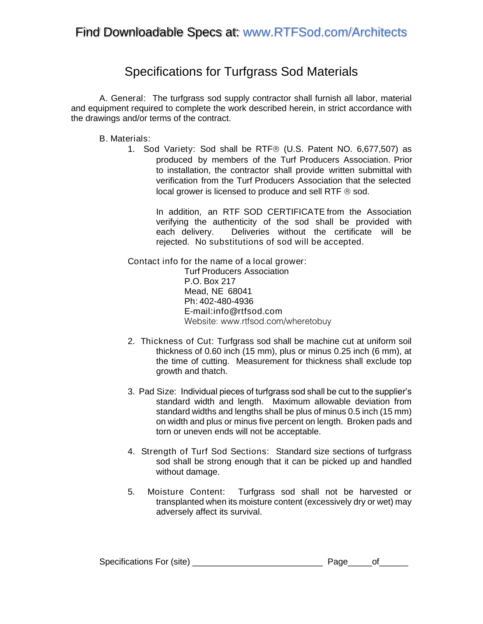## *Find Downloadable Specs at: www.RTFSod.com/Architects*

## Specifications for Turfgrass Sod Materials

A. General: The turfgrass sod supply contractor shall furnish all labor, material and equipment required to complete the work described herein, in strict accordance with the drawings and/or terms of the contract.

## B. Materials:

1. Sod Variety: Sod shall be RTF<sup>®</sup> (U.S. Patent NO. 6,677,507) as produced by members of the Turf Producers Association. Prior to installation, the contractor shall provide written submittal with verification from the Turf Producers Association that the selected local grower is licensed to produce and sell RTF  $<sup>®</sup>$  sod.</sup>

> In addition, an *RTF SOD CERTIFICATE* from the Association verifying the authenticity of the sod shall be provided with each delivery. Deliveries without the certificate will be rejected. No substitutions of sod will be accepted.

Contact info for the name of a local grower: Turf Producers Association P.O. Box 217 Mead, NE 68041 Ph: 402-480-4936

E-mail: info@rtfsod.com Website: [www.rtfsod.com/wheretobuy](http://www.rtfsod.com/wheretobuy)

- 2. Thickness of Cut: Turfgrass sod shall be machine cut at uniform soil thickness of 0.60 inch (15 mm), plus or minus 0.25 inch (6 mm), at the time of cutting. Measurement for thickness shall exclude top growth and thatch.
- 3. Pad Size: Individual pieces of turfgrass sod shall be cut to the supplier's standard width and length. Maximum allowable deviation from standard widths and lengths shall be plus of minus 0.5 inch (15 mm) on width and plus or minus five percent on length. Broken pads and torn or uneven ends will not be acceptable.
- 4. Strength of Turf Sod Sections: Standard size sections of turfgrass sod shall be strong enough that it can be picked up and handled without damage.
- 5. Moisture Content: Turfgrass sod shall not be harvested or transplanted when its moisture content (excessively dry or wet) may adversely affect its survival.